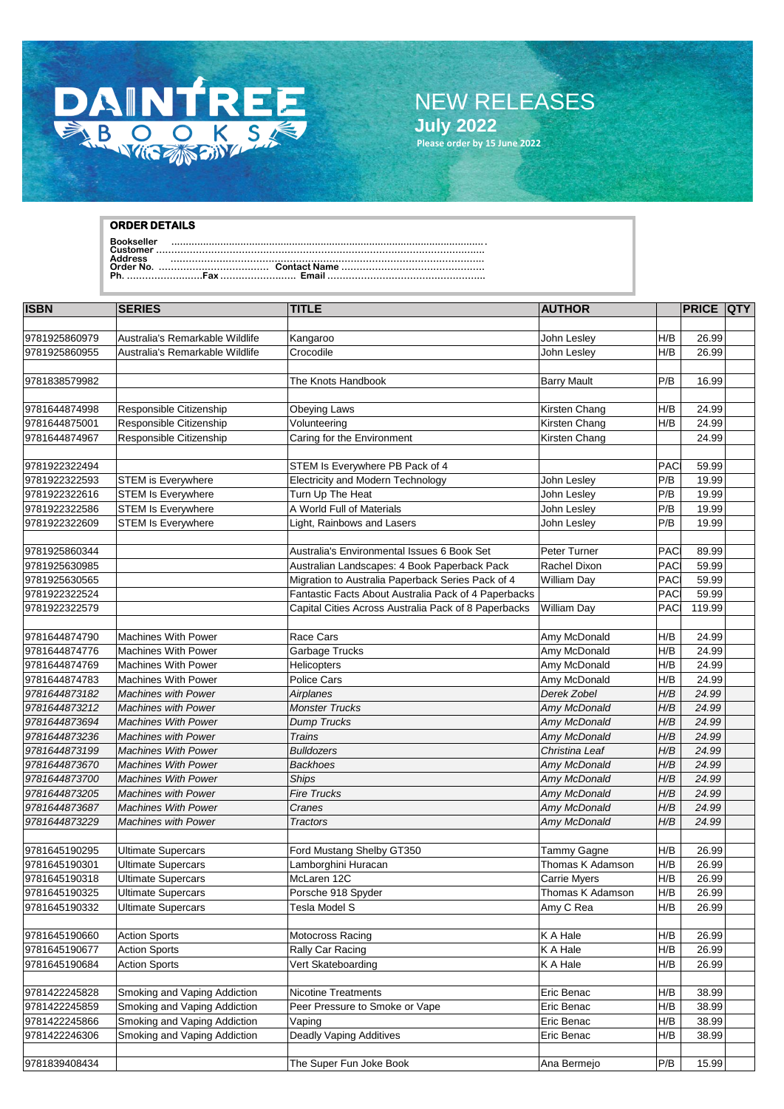

## NEW RELEASES **July 2022**

**Please order by 15 June 2022**

## **ORDER DETAILS**

**Bookseller .............................................................................................................. Customer ………………………………………………………………………………………..…....**

**Address ……………………………………….………………………………………………... Order No. ……………………………… Contact Name ……………………………………….. Ph. ………………..…..Fax .………………..…. Email ……………………………………….…...**

| <b>ISBN</b>                    | <b>SERIES</b>                   | <b>TITLE</b>                                         | <b>AUTHOR</b>            |            | <b>PRICE QTY</b> |  |
|--------------------------------|---------------------------------|------------------------------------------------------|--------------------------|------------|------------------|--|
|                                |                                 |                                                      |                          |            |                  |  |
| 9781925860979                  | Australia's Remarkable Wildlife | Kangaroo                                             | John Lesley              | H/B        | 26.99            |  |
| 9781925860955                  | Australia's Remarkable Wildlife | Crocodile                                            | John Lesley              | H/B        | 26.99            |  |
|                                |                                 |                                                      |                          |            |                  |  |
| 9781838579982                  |                                 | The Knots Handbook                                   | <b>Barry Mault</b>       | P/B        | 16.99            |  |
|                                |                                 |                                                      |                          |            |                  |  |
| 9781644874998                  | Responsible Citizenship         | <b>Obeying Laws</b>                                  | Kirsten Chang            | H/B        | 24.99            |  |
| 9781644875001                  | Responsible Citizenship         | Volunteering                                         | Kirsten Chang            | H/B        | 24.99            |  |
| 9781644874967                  | Responsible Citizenship         | Caring for the Environment                           | Kirsten Chang            |            | 24.99            |  |
| 9781922322494                  |                                 | STEM Is Everywhere PB Pack of 4                      |                          | PAC        | 59.99            |  |
| 9781922322593                  | STEM is Everywhere              | Electricity and Modern Technology                    | John Lesley              | P/B        | 19.99            |  |
| 9781922322616                  | <b>STEM Is Everywhere</b>       | Turn Up The Heat                                     | John Lesley              | P/B        | 19.99            |  |
| 9781922322586                  | <b>STEM Is Everywhere</b>       | A World Full of Materials                            | John Lesley              | P/B        | 19.99            |  |
| 9781922322609                  | <b>STEM Is Everywhere</b>       | Light, Rainbows and Lasers                           | John Lesley              | P/B        | 19.99            |  |
|                                |                                 |                                                      |                          |            |                  |  |
| 9781925860344                  |                                 | Australia's Environmental Issues 6 Book Set          | Peter Turner             | PAC        | 89.99            |  |
| 9781925630985                  |                                 | Australian Landscapes: 4 Book Paperback Pack         | Rachel Dixon             | PAC        | 59.99            |  |
| 9781925630565                  |                                 | Migration to Australia Paperback Series Pack of 4    | <b>William Day</b>       | <b>PAC</b> | 59.99            |  |
| 9781922322524                  |                                 | Fantastic Facts About Australia Pack of 4 Paperbacks |                          | PAC        | 59.99            |  |
| 9781922322579                  |                                 | Capital Cities Across Australia Pack of 8 Paperbacks | <b>William Day</b>       | PAC        | 119.99           |  |
|                                |                                 |                                                      |                          |            |                  |  |
| 9781644874790                  | <b>Machines With Power</b>      | Race Cars                                            | Amy McDonald             | H/B        | 24.99            |  |
| 9781644874776                  | <b>Machines With Power</b>      | Garbage Trucks                                       | Amy McDonald             | H/B        | 24.99            |  |
| 9781644874769                  | Machines With Power             | Helicopters                                          | Amy McDonald             | H/B        | 24.99            |  |
| 9781644874783                  | <b>Machines With Power</b>      | <b>Police Cars</b>                                   | Amy McDonald             | H/B        | 24.99            |  |
| 9781644873182                  | <b>Machines with Power</b>      | Airplanes                                            | Derek Zobel              | H/B        | 24.99            |  |
| 9781644873212                  | <b>Machines with Power</b>      | <b>Monster Trucks</b>                                | Amy McDonald             | H/B        | 24.99            |  |
| 9781644873694                  | <b>Machines With Power</b>      | <b>Dump Trucks</b>                                   | Amy McDonald             | H/B        | 24.99            |  |
| 9781644873236                  | <b>Machines with Power</b>      | <b>Trains</b>                                        | Amy McDonald             | H/B        | 24.99            |  |
| 9781644873199                  | <b>Machines With Power</b>      | <b>Bulldozers</b>                                    | Christina Leaf           | H/B        | 24.99            |  |
| 9781644873670                  | <b>Machines With Power</b>      | <b>Backhoes</b>                                      | Amy McDonald             | H/B        | 24.99            |  |
| 9781644873700                  | <b>Machines With Power</b>      | <b>Ships</b>                                         | Amy McDonald             | H/B        | 24.99            |  |
| 9781644873205                  | <b>Machines with Power</b>      | <b>Fire Trucks</b>                                   | Amy McDonald             | H/B        | 24.99            |  |
| 9781644873687                  | <b>Machines With Power</b>      | Cranes                                               | Amy McDonald             | H/B        | 24.99            |  |
| 9781644873229                  | <b>Machines with Power</b>      | <b>Tractors</b>                                      | Amy McDonald             | H/B        | 24.99            |  |
|                                |                                 |                                                      |                          |            |                  |  |
| 9781645190295                  | <b>Ultimate Supercars</b>       | Ford Mustang Shelby GT350                            | Tammy Gagne              | H/B        | 26.99            |  |
| 9781645190301                  | <b>Ultimate Supercars</b>       | Lamborghini Huracan                                  | Thomas K Adamson         | H/B        | 26.99            |  |
| 9781645190318                  | <b>Ultimate Supercars</b>       | McLaren 12C                                          | <b>Carrie Myers</b>      | H/B        | 26.99            |  |
| 9781645190325                  | <b>Ultimate Supercars</b>       | Porsche 918 Spyder                                   | Thomas K Adamson         | H/B        | 26.99            |  |
| 9781645190332                  | <b>Ultimate Supercars</b>       | Tesla Model S                                        | Amy C Rea                | H/B        | 26.99            |  |
|                                |                                 |                                                      |                          |            |                  |  |
| 9781645190660                  | <b>Action Sports</b>            | Motocross Racing                                     | K A Hale                 | H/B        | 26.99            |  |
| 9781645190677                  | <b>Action Sports</b>            | Rally Car Racing                                     | K A Hale                 | H/B        | 26.99            |  |
| 9781645190684                  | <b>Action Sports</b>            | Vert Skateboarding                                   | K A Hale                 | H/B        | 26.99            |  |
|                                |                                 |                                                      |                          |            |                  |  |
| 9781422245828<br>9781422245859 | Smoking and Vaping Addiction    | Nicotine Treatments                                  | Eric Benac               | H/B        | 38.99            |  |
|                                | Smoking and Vaping Addiction    | Peer Pressure to Smoke or Vape                       | Eric Benac               | H/B        | 38.99            |  |
| 9781422245866<br>9781422246306 | Smoking and Vaping Addiction    | Vaping<br><b>Deadly Vaping Additives</b>             | Eric Benac<br>Eric Benac | H/B<br>H/B | 38.99<br>38.99   |  |
|                                | Smoking and Vaping Addiction    |                                                      |                          |            |                  |  |
| 9781839408434                  |                                 | The Super Fun Joke Book                              |                          | P/B        | 15.99            |  |
|                                |                                 |                                                      | Ana Bermejo              |            |                  |  |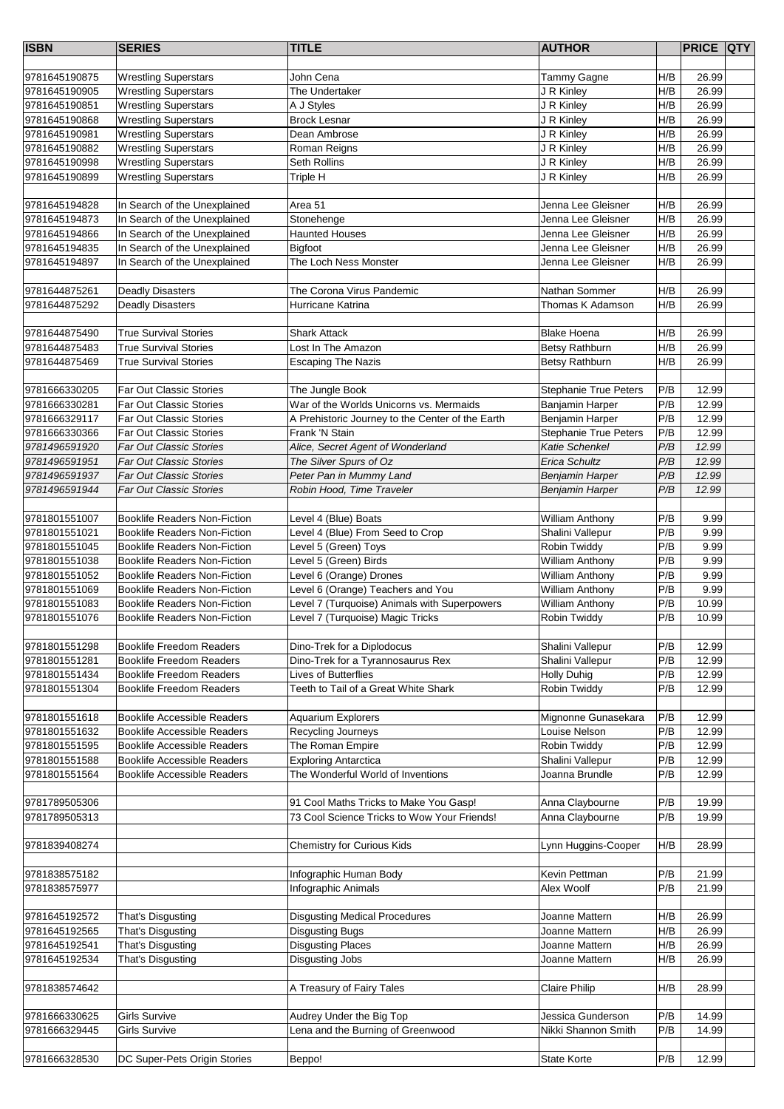| <b>ISBN</b>   | <b>SERIES</b>                                                      | <b>TITLE</b>                                                     | <b>AUTHOR</b>                        |            | <b>PRICE QTY</b> |  |
|---------------|--------------------------------------------------------------------|------------------------------------------------------------------|--------------------------------------|------------|------------------|--|
|               |                                                                    |                                                                  |                                      |            |                  |  |
| 9781645190875 | <b>Wrestling Superstars</b>                                        | John Cena                                                        | Tammy Gagne                          | H/B        | 26.99            |  |
| 9781645190905 | <b>Wrestling Superstars</b>                                        | The Undertaker                                                   | J R Kinley                           | H/B        | 26.99            |  |
| 9781645190851 | <b>Wrestling Superstars</b>                                        | A J Styles                                                       | J R Kinley                           | H/B        | 26.99            |  |
| 9781645190868 | <b>Wrestling Superstars</b>                                        | <b>Brock Lesnar</b><br>Dean Ambrose                              | J R Kinley                           | H/B<br>H/B | 26.99<br>26.99   |  |
| 9781645190981 | <b>Wrestling Superstars</b>                                        |                                                                  | J R Kinley                           |            |                  |  |
| 9781645190882 | <b>Wrestling Superstars</b>                                        | Roman Reigns                                                     | J R Kinley                           | H/B<br>H/B | 26.99<br>26.99   |  |
| 9781645190998 | <b>Wrestling Superstars</b>                                        | Seth Rollins                                                     | J R Kinley                           | H/B        |                  |  |
| 9781645190899 | <b>Wrestling Superstars</b>                                        | Triple H                                                         | J R Kinley                           |            | 26.99            |  |
| 9781645194828 | In Search of the Unexplained                                       | Area <sub>51</sub>                                               | Jenna Lee Gleisner                   | H/B        | 26.99            |  |
| 9781645194873 | In Search of the Unexplained                                       | Stonehenge                                                       | Jenna Lee Gleisner                   | H/B        | 26.99            |  |
| 9781645194866 | In Search of the Unexplained                                       | <b>Haunted Houses</b>                                            | Jenna Lee Gleisner                   | H/B        | 26.99            |  |
| 9781645194835 | In Search of the Unexplained                                       | Bigfoot                                                          | Jenna Lee Gleisner                   | H/B        | 26.99            |  |
| 9781645194897 | In Search of the Unexplained                                       | The Loch Ness Monster                                            | Jenna Lee Gleisner                   | H/B        | 26.99            |  |
|               |                                                                    |                                                                  |                                      |            |                  |  |
| 9781644875261 | <b>Deadly Disasters</b>                                            | The Corona Virus Pandemic                                        | Nathan Sommer                        | H/B        | 26.99            |  |
| 9781644875292 | <b>Deadly Disasters</b>                                            | Hurricane Katrina                                                | Thomas K Adamson                     | H/B        | 26.99            |  |
|               |                                                                    |                                                                  |                                      |            |                  |  |
| 9781644875490 | <b>True Survival Stories</b>                                       | <b>Shark Attack</b>                                              | <b>Blake Hoena</b>                   | H/B        | 26.99            |  |
| 9781644875483 | <b>True Survival Stories</b>                                       | Lost In The Amazon                                               | Betsy Rathburn                       | H/B        | 26.99            |  |
| 9781644875469 | <b>True Survival Stories</b>                                       | <b>Escaping The Nazis</b>                                        | Betsy Rathburn                       | H/B        | 26.99            |  |
|               |                                                                    |                                                                  |                                      |            |                  |  |
| 9781666330205 | Far Out Classic Stories                                            | The Jungle Book                                                  | <b>Stephanie True Peters</b>         | P/B        | 12.99            |  |
| 9781666330281 | Far Out Classic Stories                                            | War of the Worlds Unicorns vs. Mermaids                          | Banjamin Harper                      | P/B        | 12.99            |  |
| 9781666329117 | Far Out Classic Stories                                            | A Prehistoric Journey to the Center of the Earth                 | Benjamin Harper                      | P/B        | 12.99            |  |
| 9781666330366 | Far Out Classic Stories                                            | Frank 'N Stain                                                   | <b>Stephanie True Peters</b>         | P/B        | 12.99            |  |
| 9781496591920 | <b>Far Out Classic Stories</b>                                     | Alice, Secret Agent of Wonderland                                | <b>Katie Schenkel</b>                | P/B        | 12.99            |  |
| 9781496591951 | <b>Far Out Classic Stories</b>                                     | The Silver Spurs of Oz                                           | Erica Schultz                        | P/B        | 12.99            |  |
| 9781496591937 | <b>Far Out Classic Stories</b>                                     | Peter Pan in Mummy Land                                          | <b>Benjamin Harper</b>               | P/B        | 12.99            |  |
| 9781496591944 | <b>Far Out Classic Stories</b>                                     | Robin Hood, Time Traveler                                        | <b>Benjamin Harper</b>               | P/B        | 12.99            |  |
|               |                                                                    |                                                                  |                                      |            |                  |  |
| 9781801551007 | <b>Booklife Readers Non-Fiction</b>                                | Level 4 (Blue) Boats                                             | <b>William Anthony</b>               | P/B        | 9.99             |  |
| 9781801551021 | <b>Booklife Readers Non-Fiction</b>                                | Level 4 (Blue) From Seed to Crop                                 | Shalini Vallepur                     | P/B        | 9.99             |  |
| 9781801551045 | <b>Booklife Readers Non-Fiction</b>                                | Level 5 (Green) Toys                                             | Robin Twiddy                         | P/B        | 9.99             |  |
| 9781801551038 | <b>Booklife Readers Non-Fiction</b>                                | Level 5 (Green) Birds                                            | <b>William Anthony</b>               | P/B        | 9.99             |  |
| 9781801551052 | <b>Booklife Readers Non-Fiction</b>                                | Level 6 (Orange) Drones                                          | <b>William Anthony</b>               | P/B        | 9.99             |  |
| 9781801551069 | <b>Booklife Readers Non-Fiction</b>                                | Level 6 (Orange) Teachers and You                                | <b>William Anthony</b>               | P/B        | 9.99             |  |
| 9781801551083 | <b>Booklife Readers Non-Fiction</b>                                | Level 7 (Turquoise) Animals with Superpowers                     | <b>William Anthony</b>               | P/B        | 10.99            |  |
| 9781801551076 | <b>Booklife Readers Non-Fiction</b>                                | Level 7 (Turquoise) Magic Tricks                                 | Robin Twiddy                         | P/B        | 10.99            |  |
| 9781801551298 |                                                                    |                                                                  |                                      | P/B        |                  |  |
| 9781801551281 | <b>Booklife Freedom Readers</b><br><b>Booklife Freedom Readers</b> | Dino-Trek for a Diplodocus                                       | Shalini Vallepur<br>Shalini Vallepur | P/B        | 12.99<br>12.99   |  |
| 9781801551434 | <b>Booklife Freedom Readers</b>                                    | Dino-Trek for a Tyrannosaurus Rex<br><b>Lives of Butterflies</b> |                                      | P/B        | 12.99            |  |
| 9781801551304 | <b>Booklife Freedom Readers</b>                                    | Teeth to Tail of a Great White Shark                             | <b>Holly Duhig</b><br>Robin Twiddy   | P/B        | 12.99            |  |
|               |                                                                    |                                                                  |                                      |            |                  |  |
| 9781801551618 | <b>Booklife Accessible Readers</b>                                 | <b>Aquarium Explorers</b>                                        | Mignonne Gunasekara                  | P/B        | 12.99            |  |
| 9781801551632 | <b>Booklife Accessible Readers</b>                                 | Recycling Journeys                                               | Louise Nelson                        | P/B        | 12.99            |  |
| 9781801551595 | <b>Booklife Accessible Readers</b>                                 | The Roman Empire                                                 | Robin Twiddy                         | P/B        | 12.99            |  |
| 9781801551588 | <b>Booklife Accessible Readers</b>                                 | <b>Exploring Antarctica</b>                                      | Shalini Vallepur                     | P/B        | 12.99            |  |
| 9781801551564 | <b>Booklife Accessible Readers</b>                                 | The Wonderful World of Inventions                                | Joanna Brundle                       | P/B        | 12.99            |  |
|               |                                                                    |                                                                  |                                      |            |                  |  |
| 9781789505306 |                                                                    | 91 Cool Maths Tricks to Make You Gasp!                           | Anna Claybourne                      | P/B        | 19.99            |  |
| 9781789505313 |                                                                    | 73 Cool Science Tricks to Wow Your Friends!                      | Anna Claybourne                      | P/B        | 19.99            |  |
|               |                                                                    |                                                                  |                                      |            |                  |  |
| 9781839408274 |                                                                    | Chemistry for Curious Kids                                       | Lynn Huggins-Cooper                  | H/B        | 28.99            |  |
|               |                                                                    |                                                                  |                                      |            |                  |  |
| 9781838575182 |                                                                    | Infographic Human Body                                           | Kevin Pettman                        | P/B        | 21.99            |  |
| 9781838575977 |                                                                    | Infographic Animals                                              | Alex Woolf                           | P/B        | 21.99            |  |
|               |                                                                    |                                                                  |                                      |            |                  |  |
| 9781645192572 | That's Disgusting                                                  | <b>Disgusting Medical Procedures</b>                             | Joanne Mattern                       | H/B        | 26.99            |  |
| 9781645192565 | That's Disgusting                                                  | <b>Disgusting Bugs</b>                                           | Joanne Mattern                       | H/B        | 26.99            |  |
| 9781645192541 | That's Disgusting                                                  | <b>Disgusting Places</b>                                         | Joanne Mattern                       | H/B        | 26.99            |  |
| 9781645192534 | That's Disgusting                                                  | Disgusting Jobs                                                  | Joanne Mattern                       | H/B        | 26.99            |  |
|               |                                                                    |                                                                  |                                      |            |                  |  |
| 9781838574642 |                                                                    | A Treasury of Fairy Tales                                        | <b>Claire Philip</b>                 | H/B        | 28.99            |  |
|               |                                                                    |                                                                  |                                      |            |                  |  |
| 9781666330625 | <b>Girls Survive</b>                                               | Audrey Under the Big Top                                         | Jessica Gunderson                    | P/B        | 14.99            |  |
| 9781666329445 | <b>Girls Survive</b>                                               | Lena and the Burning of Greenwood                                | Nikki Shannon Smith                  | P/B        | 14.99            |  |
|               |                                                                    |                                                                  |                                      |            |                  |  |
| 9781666328530 | DC Super-Pets Origin Stories                                       | Beppo!                                                           | <b>State Korte</b>                   | P/B        | 12.99            |  |